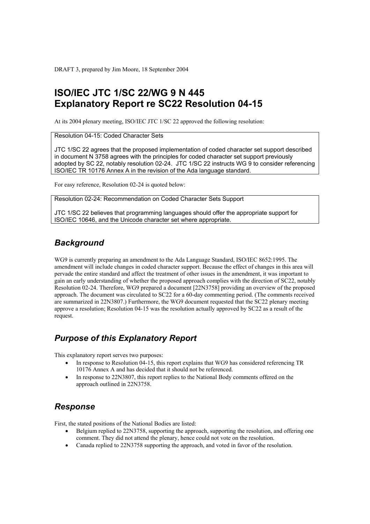DRAFT 3, prepared by Jim Moore, 18 September 2004

# **ISO/IEC JTC 1/SC 22/WG 9 N 445 Explanatory Report re SC22 Resolution 04-15**

At its 2004 plenary meeting, ISO/IEC JTC 1/SC 22 approved the following resolution:

Resolution 04-15: Coded Character Sets

JTC 1/SC 22 agrees that the proposed implementation of coded character set support described in document N 3758 agrees with the principles for coded character set support previously adopted by SC 22, notably resolution 02-24. JTC 1/SC 22 instructs WG 9 to consider referencing ISO/IEC TR 10176 Annex A in the revision of the Ada language standard.

For easy reference, Resolution 02-24 is quoted below:

Resolution 02-24: Recommendation on Coded Character Sets Support

JTC 1/SC 22 believes that programming languages should offer the appropriate support for ISO/IEC 10646, and the Unicode character set where appropriate.

## *Background*

WG9 is currently preparing an amendment to the Ada Language Standard, ISO/IEC 8652:1995. The amendment will include changes in coded character support. Because the effect of changes in this area will pervade the entire standard and affect the treatment of other issues in the amendment, it was important to gain an early understanding of whether the proposed approach complies with the direction of SC22, notably Resolution 02-24. Therefore, WG9 prepared a document [22N3758] providing an overview of the proposed approach. The document was circulated to SC22 for a 60-day commenting period. (The comments received are summarized in 22N3807.) Furthermore, the WG9 document requested that the SC22 plenary meeting approve a resolution; Resolution 04-15 was the resolution actually approved by SC22 as a result of the request.

## *Purpose of this Explanatory Report*

This explanatory report serves two purposes:

- In response to Resolution 04-15, this report explains that WG9 has considered referencing TR 10176 Annex A and has decided that it should not be referenced.
- In response to 22N3807, this report replies to the National Body comments offered on the approach outlined in 22N3758.

#### *Response*

First, the stated positions of the National Bodies are listed:

- Belgium replied to 22N3758, supporting the approach, supporting the resolution, and offering one comment. They did not attend the plenary, hence could not vote on the resolution.
- Canada replied to 22N3758 supporting the approach, and voted in favor of the resolution.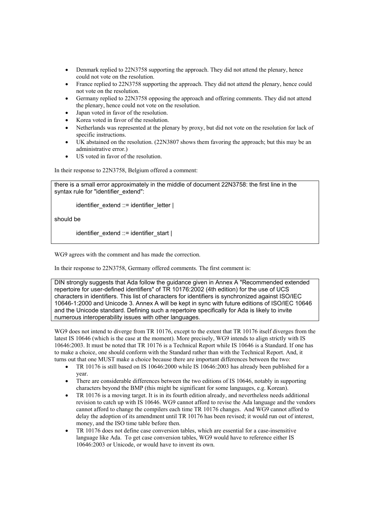- Denmark replied to 22N3758 supporting the approach. They did not attend the plenary, hence could not vote on the resolution.
- France replied to 22N3758 supporting the approach. They did not attend the plenary, hence could not vote on the resolution.
- Germany replied to 22N3758 opposing the approach and offering comments. They did not attend the plenary, hence could not vote on the resolution.
- Japan voted in favor of the resolution.
- Korea voted in favor of the resolution.
- Netherlands was represented at the plenary by proxy, but did not vote on the resolution for lack of specific instructions.
- UK abstained on the resolution. (22N3807 shows them favoring the approach; but this may be an administrative error.)
- US voted in favor of the resolution.

In their response to 22N3758, Belgium offered a comment:

there is a small error approximately in the middle of document 22N3758: the first line in the syntax rule for "identifier\_extend":

identifier\_extend ::= identifier\_letter |

should be

identifier\_extend ::= identifier\_start |

WG9 agrees with the comment and has made the correction.

In their response to 22N3758, Germany offered comments. The first comment is:

DIN strongly suggests that Ada follow the guidance given in Annex A "Recommended extended repertoire for user-defined identifiers" of TR 10176:2002 (4th edition) for the use of UCS characters in identifiers. This list of characters for identifiers is synchronized against ISO/IEC 10646-1:2000 and Unicode 3. Annex A will be kept in sync with future editions of ISO/IEC 10646 and the Unicode standard. Defining such a repertoire specifically for Ada is likely to invite numerous interoperability issues with other languages.

WG9 does not intend to diverge from TR 10176, except to the extent that TR 10176 itself diverges from the latest IS 10646 (which is the case at the moment). More precisely, WG9 intends to align strictly with IS 10646:2003. It must be noted that TR 10176 is a Technical Report while IS 10646 is a Standard. If one has to make a choice, one should conform with the Standard rather than with the Technical Report. And, it turns out that one MUST make a choice because there are important differences between the two:

- TR 10176 is still based on IS 10646:2000 while IS 10646:2003 has already been published for a year.
- There are considerable differences between the two editions of IS 10646, notably in supporting characters beyond the BMP (this might be significant for some languages, e.g. Korean).
- TR 10176 is a moving target. It is in its fourth edition already, and nevertheless needs additional revision to catch up with IS 10646. WG9 cannot afford to revise the Ada language and the vendors cannot afford to change the compilers each time TR 10176 changes. And WG9 cannot afford to delay the adoption of its amendment until TR 10176 has been revised; it would run out of interest, money, and the ISO time table before then.
- TR 10176 does not define case conversion tables, which are essential for a case-insensitive language like Ada. To get case conversion tables, WG9 would have to reference either IS 10646:2003 or Unicode, or would have to invent its own.